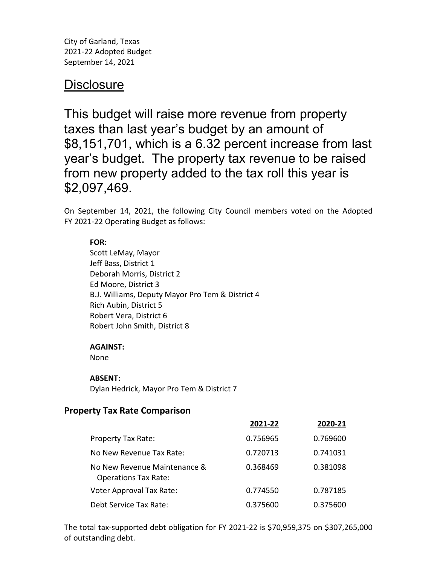City of Garland, Texas 2021-22 Adopted Budget September 14, 2021

# **Disclosure**

This budget will raise more revenue from property taxes than last year's budget by an amount of \$8,151,701, which is a 6.32 percent increase from last year's budget. The property tax revenue to be raised from new property added to the tax roll this year is \$2,097,469.

On September 14, 2021, the following City Council members voted on the Adopted FY 2021-22 Operating Budget as follows:

### **FOR:**

Scott LeMay, Mayor Jeff Bass, District 1 Deborah Morris, District 2 Ed Moore, District 3 B.J. Williams, Deputy Mayor Pro Tem & District 4 Rich Aubin, District 5 Robert Vera, District 6 Robert John Smith, District 8

#### **AGAINST:**

None

#### **ABSENT:**

Dylan Hedrick, Mayor Pro Tem & District 7

## **Property Tax Rate Comparison**

|                                                             | 2021-22  | 2020-21  |
|-------------------------------------------------------------|----------|----------|
| <b>Property Tax Rate:</b>                                   | 0.756965 | 0.769600 |
| No New Revenue Tax Rate:                                    | 0.720713 | 0.741031 |
| No New Revenue Maintenance &<br><b>Operations Tax Rate:</b> | 0.368469 | 0.381098 |
| <b>Voter Approval Tax Rate:</b>                             | 0.774550 | 0.787185 |
| Debt Service Tax Rate:                                      | 0.375600 | 0.375600 |

The total tax-supported debt obligation for FY 2021-22 is \$70,959,375 on \$307,265,000 of outstanding debt.